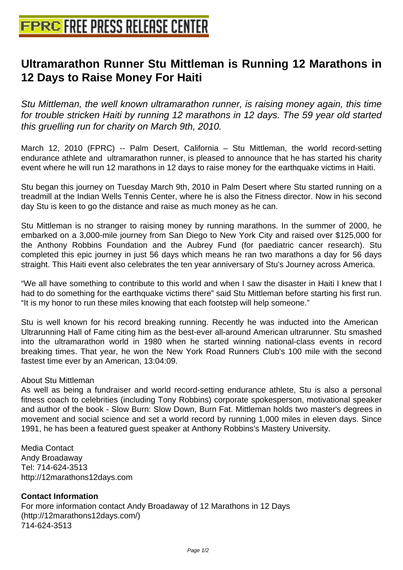## **[Ultramarathon Runner Stu Mittlem](http://www.free-press-release-center.info)an is Running 12 Marathons in 12 Days to Raise Money For Haiti**

Stu Mittleman, the well known ultramarathon runner, is raising money again, this time for trouble stricken Haiti by running 12 marathons in 12 days. The 59 year old started this gruelling run for charity on March 9th, 2010.

March 12, 2010 (FPRC) -- Palm Desert, California – Stu Mittleman, the world record-setting endurance athlete and ultramarathon runner, is pleased to announce that he has started his charity event where he will run 12 marathons in 12 days to raise money for the earthquake victims in Haiti.

Stu began this journey on Tuesday March 9th, 2010 in Palm Desert where Stu started running on a treadmill at the Indian Wells Tennis Center, where he is also the Fitness director. Now in his second day Stu is keen to go the distance and raise as much money as he can.

Stu Mittleman is no stranger to raising money by running marathons. In the summer of 2000, he embarked on a 3,000-mile journey from San Diego to New York City and raised over \$125,000 for the Anthony Robbins Foundation and the Aubrey Fund (for paediatric cancer research). Stu completed this epic journey in just 56 days which means he ran two marathons a day for 56 days straight. This Haiti event also celebrates the ten year anniversary of Stu's Journey across America.

"We all have something to contribute to this world and when I saw the disaster in Haiti I knew that I had to do something for the earthquake victims there" said Stu Mittleman before starting his first run. "It is my honor to run these miles knowing that each footstep will help someone."

Stu is well known for his record breaking running. Recently he was inducted into the American Ultrarunning Hall of Fame citing him as the best-ever all-around American ultrarunner. Stu smashed into the ultramarathon world in 1980 when he started winning national-class events in record breaking times. That year, he won the New York Road Runners Club's 100 mile with the second fastest time ever by an American, 13:04:09.

## About Stu Mittleman

As well as being a fundraiser and world record-setting endurance athlete, Stu is also a personal fitness coach to celebrities (including Tony Robbins) corporate spokesperson, motivational speaker and author of the book - Slow Burn: Slow Down, Burn Fat. Mittleman holds two master's degrees in movement and social science and set a world record by running 1,000 miles in eleven days. Since 1991, he has been a featured guest speaker at Anthony Robbins's Mastery University.

Media Contact Andy Broadaway Tel: 714-624-3513 http://12marathons12days.com

## **Contact Information**

For more information contact Andy Broadaway of 12 Marathons in 12 Days (http://12marathons12days.com/) 714-624-3513